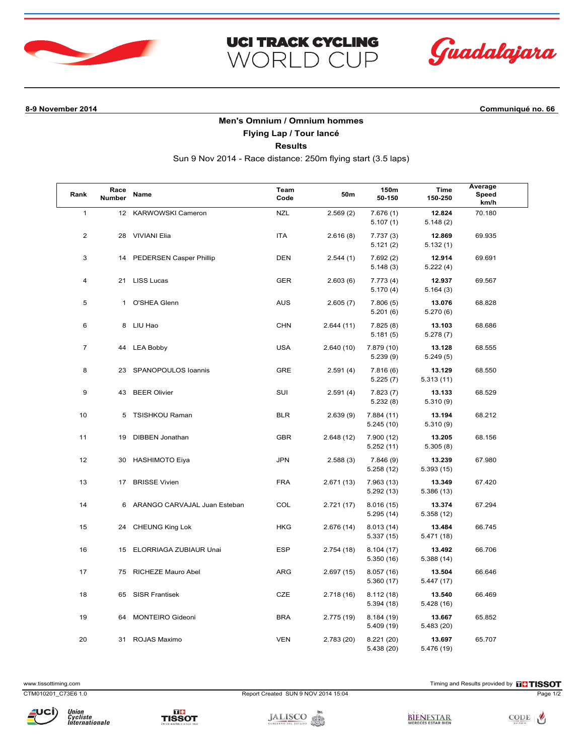



**8-9 November 2014 Communiqué no. 66**

## **Men's Omnium / Omnium hommes**

**UCI TRACK CYCLING** 

WORLD CUP

**Flying Lap / Tour lancé**

**Results**

Sun 9 Nov 2014 - Race distance: 250m flying start (3.5 laps)

| Rank           | Race<br><b>Number</b> | Name                         | Team<br>Code | 50m        | 150m<br>50-150           | Time<br>150-250      | Average<br>Speed<br>km/h |
|----------------|-----------------------|------------------------------|--------------|------------|--------------------------|----------------------|--------------------------|
| $\mathbf{1}$   |                       | 12 KARWOWSKI Cameron         | <b>NZL</b>   | 2.569(2)   | 7.676(1)<br>5.107(1)     | 12.824<br>5.148(2)   | 70.180                   |
| $\overline{2}$ | 28                    | <b>VIVIANI Elia</b>          | <b>ITA</b>   | 2.616(8)   | 7.737(3)<br>5.121(2)     | 12.869<br>5.132(1)   | 69.935                   |
| 3              | 14                    | PEDERSEN Casper Phillip      | <b>DEN</b>   | 2.544(1)   | 7.692(2)<br>5.148(3)     | 12.914<br>5.222(4)   | 69.691                   |
| 4              | 21                    | <b>LISS Lucas</b>            | <b>GER</b>   | 2.603(6)   | 7.773(4)<br>5.170(4)     | 12.937<br>5.164(3)   | 69.567                   |
| 5              | $\mathbf{1}$          | O'SHEA Glenn                 | <b>AUS</b>   | 2.605(7)   | 7.806(5)<br>5.201(6)     | 13.076<br>5.270(6)   | 68.828                   |
| 6              |                       | 8 LIU Hao                    | <b>CHN</b>   | 2.644(11)  | 7.825(8)<br>5.181(5)     | 13.103<br>5.278(7)   | 68.686                   |
| $\overline{7}$ |                       | 44 LEA Bobby                 | <b>USA</b>   | 2.640(10)  | 7.879 (10)<br>5.239(9)   | 13.128<br>5.249(5)   | 68.555                   |
| 8              | 23                    | SPANOPOULOS Ioannis          | <b>GRE</b>   | 2.591(4)   | 7.816(6)<br>5.225(7)     | 13.129<br>5.313(11)  | 68.550                   |
| 9              | 43                    | <b>BEER Olivier</b>          | SUI          | 2.591(4)   | 7.823(7)<br>5.232(8)     | 13.133<br>5.310(9)   | 68.529                   |
| 10             | 5                     | <b>TSISHKOU Raman</b>        | <b>BLR</b>   | 2.639(9)   | 7.884(11)<br>5.245(10)   | 13.194<br>5.310(9)   | 68.212                   |
| 11             | 19                    | <b>DIBBEN Jonathan</b>       | <b>GBR</b>   | 2.648(12)  | 7.900 (12)<br>5.252(11)  | 13.205<br>5.305(8)   | 68.156                   |
| 12             | 30                    | <b>HASHIMOTO Eiya</b>        | <b>JPN</b>   | 2.588(3)   | 7.846(9)<br>5.258(12)    | 13.239<br>5.393(15)  | 67.980                   |
| 13             | 17                    | <b>BRISSE Vivien</b>         | <b>FRA</b>   | 2.671(13)  | 7.963 (13)<br>5.292(13)  | 13.349<br>5.386 (13) | 67.420                   |
| 14             | 6                     | ARANGO CARVAJAL Juan Esteban | COL          | 2.721(17)  | 8.016(15)<br>5.295 (14)  | 13.374<br>5.358(12)  | 67.294                   |
| 15             | 24                    | <b>CHEUNG King Lok</b>       | <b>HKG</b>   | 2.676(14)  | 8.013(14)<br>5.337(15)   | 13.484<br>5.471(18)  | 66.745                   |
| 16             | 15                    | ELORRIAGA ZUBIAUR Unai       | <b>ESP</b>   | 2.754(18)  | 8.104(17)<br>5.350(16)   | 13.492<br>5.388(14)  | 66.706                   |
| 17             | 75                    | <b>RICHEZE Mauro Abel</b>    | <b>ARG</b>   | 2.697(15)  | 8.057(16)<br>5.360(17)   | 13.504<br>5.447 (17) | 66.646                   |
| 18             | 65                    | <b>SISR Frantisek</b>        | CZE          | 2.718(16)  | 8.112(18)<br>5.394(18)   | 13.540<br>5.428(16)  | 66.469                   |
| 19             | 64                    | <b>MONTEIRO Gideoni</b>      | <b>BRA</b>   | 2.775 (19) | 8.184(19)<br>5.409(19)   | 13.667<br>5.483 (20) | 65.852                   |
| 20             | 31                    | ROJAS Maximo                 | <b>VEN</b>   | 2.783(20)  | 8.221 (20)<br>5.438 (20) | 13.697<br>5.476 (19) | 65.707                   |

Union<br>Cycliste<br>Internationale

CTM010201\_C73E6 1.0 Report Created SUN 9 NOV 2014 15:04 Page 1/2

www.tissottiming.com **EXECUTES CONTEXT CONTEXT** Timing and Results provided by **EXECUTES CONTEXT AND RESULTS SO TIMING** 



JALISCO **SEL ESTADO**